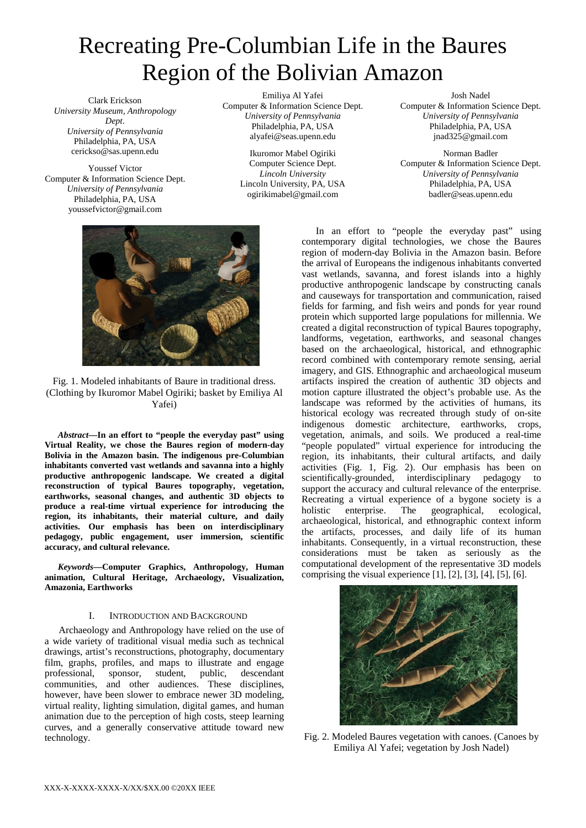# Recreating Pre-Columbian Life in the Baures Region of the Bolivian Amazon

Clark Erickson *University Museum, Anthropology Dept*. *University of Pennsylvania* Philadelphia, PA, USA cerickso@sas.upenn.edu

Youssef Victor Computer & Information Science Dept. *University of Pennsylvania* Philadelphia, PA, USA youssefvictor@gmail.com

Emiliya Al Yafei Computer & Information Science Dept. *University of Pennsylvania* Philadelphia, PA, USA alyafei@seas.upenn.edu

> Ikuromor Mabel Ogiriki Computer Science Dept. *Lincoln University* Lincoln University, PA, USA ogirikimabel@gmail.com

Josh Nadel Computer & Information Science Dept. *University of Pennsylvania* Philadelphia, PA, USA jnad325@gmail.com

Norman Badler Computer & Information Science Dept. *University of Pennsylvania* Philadelphia, PA, USA badler@seas.upenn.edu



Fig. 1. Modeled inhabitants of Baure in traditional dress. (Clothing by Ikuromor Mabel Ogiriki; basket by Emiliya Al Yafei)

<span id="page-0-0"></span>*Abstract***—In an effort to "people the everyday past" using Virtual Reality, we chose the Baures region of modern-day Bolivia in the Amazon basin. The indigenous pre-Columbian inhabitants converted vast wetlands and savanna into a highly productive anthropogenic landscape. We created a digital reconstruction of typical Baures topography, vegetation, earthworks, seasonal changes, and authentic 3D objects to produce a real-time virtual experience for introducing the region, its inhabitants, their material culture, and daily activities. Our emphasis has been on interdisciplinary pedagogy, public engagement, user immersion, scientific accuracy, and cultural relevance.**

*Keywords—***Computer Graphics, Anthropology, Human animation, Cultural Heritage, Archaeology, Visualization, Amazonia, Earthworks**

## I. INTRODUCTION AND BACKGROUND

Archaeology and Anthropology have relied on the use of a wide variety of traditional visual media such as technical drawings, artist's reconstructions, photography, documentary film, graphs, profiles, and maps to illustrate and engage professional, sponsor, student, public, descendant communities, and other audiences. These disciplines, however, have been slower to embrace newer 3D modeling, virtual reality, lighting simulation, digital games, and human animation due to the perception of high costs, steep learning curves, and a generally conservative attitude toward new technology.

In an effort to "people the everyday past" using contemporary digital technologies, we chose the Baures region of modern-day Bolivia in the Amazon basin. Before the arrival of Europeans the indigenous inhabitants converted vast wetlands, savanna, and forest islands into a highly productive anthropogenic landscape by constructing canals and causeways for transportation and communication, raised fields for farming, and fish weirs and ponds for year round protein which supported large populations for millennia. We created a digital reconstruction of typical Baures topography, landforms, vegetation, earthworks, and seasonal changes based on the archaeological, historical, and ethnographic record combined with contemporary remote sensing, aerial imagery, and GIS. Ethnographic and archaeological museum artifacts inspired the creation of authentic 3D objects and motion capture illustrated the object's probable use. As the landscape was reformed by the activities of humans, its historical ecology was recreated through study of on-site indigenous domestic architecture, earthworks, crops, vegetation, animals, and soils. We produced a real-time "people populated" virtual experience for introducing the region, its inhabitants, their cultural artifacts, and daily activities [\(Fig. 1,](#page-0-0) [Fig. 2\)](#page-0-1). Our emphasis has been on scientifically-grounded, interdisciplinary pedagogy to support the accuracy and cultural relevance of the enterprise. Recreating a virtual experience of a bygone society is a holistic enterprise. The geographical, ecological, archaeological, historical, and ethnographic context inform the artifacts, processes, and daily life of its human inhabitants. Consequently, in a virtual reconstruction, these considerations must be taken as seriously as the computational development of the representative 3D models comprising the visual experience  $[1]$ ,  $[2]$ ,  $[3]$ ,  $[4]$ ,  $[5]$ ,  $[6]$ .

<span id="page-0-1"></span>

Fig. 2. Modeled Baures vegetation with canoes. (Canoes by Emiliya Al Yafei; vegetation by Josh Nadel)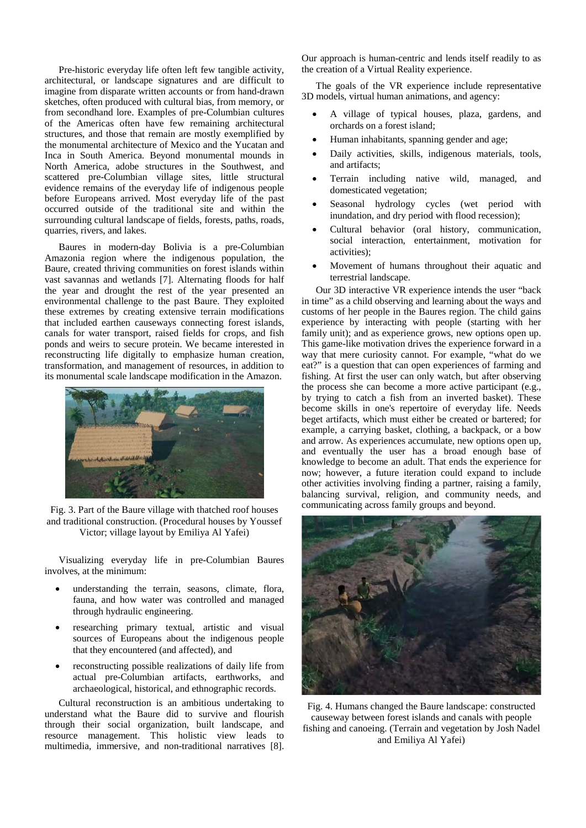Pre-historic everyday life often left few tangible activity, architectural, or landscape signatures and are difficult to imagine from disparate written accounts or from hand-drawn sketches, often produced with cultural bias, from memory, or from secondhand lore. Examples of pre-Columbian cultures of the Americas often have few remaining architectural structures, and those that remain are mostly exemplified by the monumental architecture of Mexico and the Yucatan and Inca in South America. Beyond monumental mounds in North America, adobe structures in the Southwest, and scattered pre-Columbian village sites, little structural evidence remains of the everyday life of indigenous people before Europeans arrived. Most everyday life of the past occurred outside of the traditional site and within the surrounding cultural landscape of fields, forests, paths, roads, quarries, rivers, and lakes.

Baures in modern-day Bolivia is a pre-Columbian Amazonia region where the indigenous population, the Baure, created thriving communities on forest islands within vast savannas and wetlands [\[7\].](#page-4-6) Alternating floods for half the year and drought the rest of the year presented an environmental challenge to the past Baure. They exploited these extremes by creating extensive terrain modifications that included earthen causeways connecting forest islands, canals for water transport, raised fields for crops, and fish ponds and weirs to secure protein. We became interested in reconstructing life digitally to emphasize human creation, transformation, and management of resources, in addition to its monumental scale landscape modification in the Amazon.



Fig. 3. Part of the Baure village with thatched roof houses and traditional construction. (Procedural houses by Youssef Victor; village layout by Emiliya Al Yafei)

Visualizing everyday life in pre-Columbian Baures involves, at the minimum:

- understanding the terrain, seasons, climate, flora, fauna, and how water was controlled and managed through hydraulic engineering.
- researching primary textual, artistic and visual sources of Europeans about the indigenous people that they encountered (and affected), and
- reconstructing possible realizations of daily life from actual pre-Columbian artifacts, earthworks, and archaeological, historical, and ethnographic records.

Cultural reconstruction is an ambitious undertaking to understand what the Baure did to survive and flourish through their social organization, built landscape, and resource management. This holistic view leads to multimedia, immersive, and non-traditional narratives [\[8\].](#page-4-7)

Our approach is human-centric and lends itself readily to as the creation of a Virtual Reality experience.

The goals of the VR experience include representative 3D models, virtual human animations, and agency:

- A village of typical houses, plaza, gardens, and orchards on a forest island;
- Human inhabitants, spanning gender and age;
- Daily activities, skills, indigenous materials, tools, and artifacts;
- Terrain including native wild, managed, and domesticated vegetation;
- Seasonal hydrology cycles (wet period with inundation, and dry period with flood recession);
- Cultural behavior (oral history, communication, social interaction, entertainment, motivation for activities);
- Movement of humans throughout their aquatic and terrestrial landscape.

Our 3D interactive VR experience intends the user "back in time" as a child observing and learning about the ways and customs of her people in the Baures region. The child gains experience by interacting with people (starting with her family unit); and as experience grows, new options open up. This game-like motivation drives the experience forward in a way that mere curiosity cannot. For example, "what do we eat?" is a question that can open experiences of farming and fishing. At first the user can only watch, but after observing the process she can become a more active participant (e.g., by trying to catch a fish from an inverted basket). These become skills in one's repertoire of everyday life. Needs beget artifacts, which must either be created or bartered; for example, a carrying basket, clothing, a backpack, or a bow and arrow. As experiences accumulate, new options open up, and eventually the user has a broad enough base of knowledge to become an adult. That ends the experience for now; however, a future iteration could expand to include other activities involving finding a partner, raising a family, balancing survival, religion, and community needs, and communicating across family groups and beyond.

<span id="page-1-0"></span>

Fig. 4. Humans changed the Baure landscape: constructed causeway between forest islands and canals with people fishing and canoeing. (Terrain and vegetation by Josh Nadel and Emiliya Al Yafei)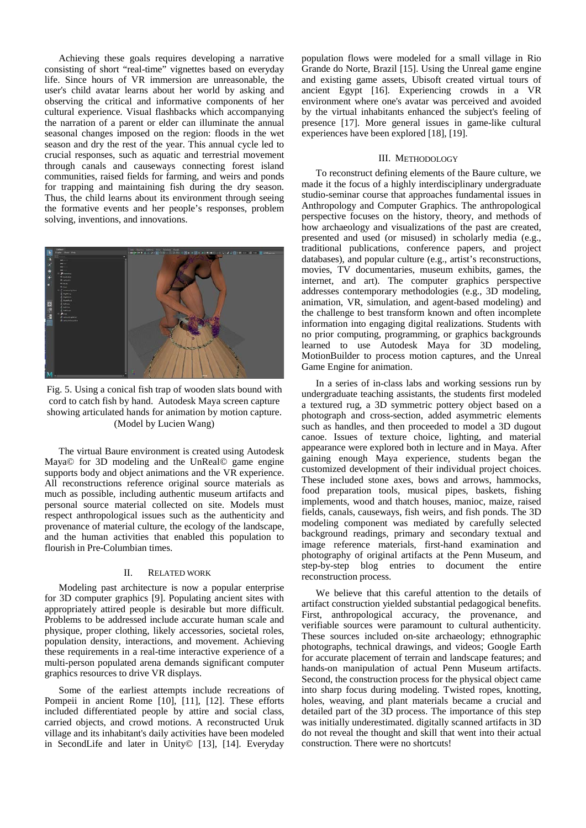Achieving these goals requires developing a narrative consisting of short "real-time" vignettes based on everyday life. Since hours of VR immersion are unreasonable, the user's child avatar learns about her world by asking and observing the critical and informative components of her cultural experience. Visual flashbacks which accompanying the narration of a parent or elder can illuminate the annual seasonal changes imposed on the region: floods in the wet season and dry the rest of the year. This annual cycle led to crucial responses, such as aquatic and terrestrial movement through canals and causeways connecting forest island communities, raised fields for farming, and weirs and ponds for trapping and maintaining fish during the dry season. Thus, the child learns about its environment through seeing the formative events and her people's responses, problem solving, inventions, and innovations.



Fig. 5. Using a conical fish trap of wooden slats bound with cord to catch fish by hand. Autodesk Maya screen capture showing articulated hands for animation by motion capture. (Model by Lucien Wang)

The virtual Baure environment is created using Autodesk Maya© for 3D modeling and the UnReal© game engine supports body and object animations and the VR experience. All reconstructions reference original source materials as much as possible, including authentic museum artifacts and personal source material collected on site. Models must respect anthropological issues such as the authenticity and provenance of material culture, the ecology of the landscape, and the human activities that enabled this population to flourish in Pre-Columbian times.

### II. RELATED WORK

Modeling past architecture is now a popular enterprise for 3D computer graphics [\[9\].](#page-4-8) Populating ancient sites with appropriately attired people is desirable but more difficult. Problems to be addressed include accurate human scale and physique, proper clothing, likely accessories, societal roles, population density, interactions, and movement. Achieving these requirements in a real-time interactive experience of a multi-person populated arena demands significant computer graphics resources to drive VR displays.

Some of the earliest attempts include recreations of Pompeii in ancient Rome [\[10\],](#page-4-9) [\[11\],](#page-4-10) [\[12\].](#page-4-11) These efforts included differentiated people by attire and social class, carried objects, and crowd motions. A reconstructed Uruk village and its inhabitant's daily activities have been modeled in SecondLife and later in Unity© [\[13\],](#page-4-12) [\[14\].](#page-4-13) Everyday population flows were modeled for a small village in Rio Grande do Norte, Brazil [\[15\].](#page-4-14) Using the Unreal game engine and existing game assets, Ubisoft created virtual tours of ancient Egypt [\[16\].](#page-4-15) Experiencing crowds in a VR environment where one's avatar was perceived and avoided by the virtual inhabitants enhanced the subject's feeling of presence [\[17\].](#page-4-16) More general issues in game-like cultural experiences have been explored [\[18\],](#page-4-17) [\[19\].](#page-4-18)

## III. METHODOLOGY

To reconstruct defining elements of the Baure culture, we made it the focus of a highly interdisciplinary undergraduate studio-seminar course that approaches fundamental issues in Anthropology and Computer Graphics. The anthropological perspective focuses on the history, theory, and methods of how archaeology and visualizations of the past are created, presented and used (or misused) in scholarly media (e.g., traditional publications, conference papers, and project databases), and popular culture (e.g., artist's reconstructions, movies, TV documentaries, museum exhibits, games, the internet, and art). The computer graphics perspective addresses contemporary methodologies (e.g., 3D modeling, animation, VR, simulation, and agent-based modeling) and the challenge to best transform known and often incomplete information into engaging digital realizations. Students with no prior computing, programming, or graphics backgrounds learned to use Autodesk Maya for 3D modeling, MotionBuilder to process motion captures, and the Unreal Game Engine for animation.

In a series of in-class labs and working sessions run by undergraduate teaching assistants, the students first modeled a textured rug, a 3D symmetric pottery object based on a photograph and cross-section, added asymmetric elements such as handles, and then proceeded to model a 3D dugout canoe. Issues of texture choice, lighting, and material appearance were explored both in lecture and in Maya. After gaining enough Maya experience, students began the customized development of their individual project choices. These included stone axes, bows and arrows, hammocks, food preparation tools, musical pipes, baskets, fishing implements, wood and thatch houses, manioc, maize, raised fields, canals, causeways, fish weirs, and fish ponds. The 3D modeling component was mediated by carefully selected background readings, primary and secondary textual and image reference materials, first-hand examination and photography of original artifacts at the Penn Museum, and step-by-step blog entries to document the entire reconstruction process.

We believe that this careful attention to the details of artifact construction yielded substantial pedagogical benefits. First, anthropological accuracy, the provenance, and verifiable sources were paramount to cultural authenticity. These sources included on-site archaeology; ethnographic photographs, technical drawings, and videos; Google Earth for accurate placement of terrain and landscape features; and hands-on manipulation of actual Penn Museum artifacts. Second, the construction process for the physical object came into sharp focus during modeling. Twisted ropes, knotting, holes, weaving, and plant materials became a crucial and detailed part of the 3D process. The importance of this step was initially underestimated. digitally scanned artifacts in 3D do not reveal the thought and skill that went into their actual construction. There were no shortcuts!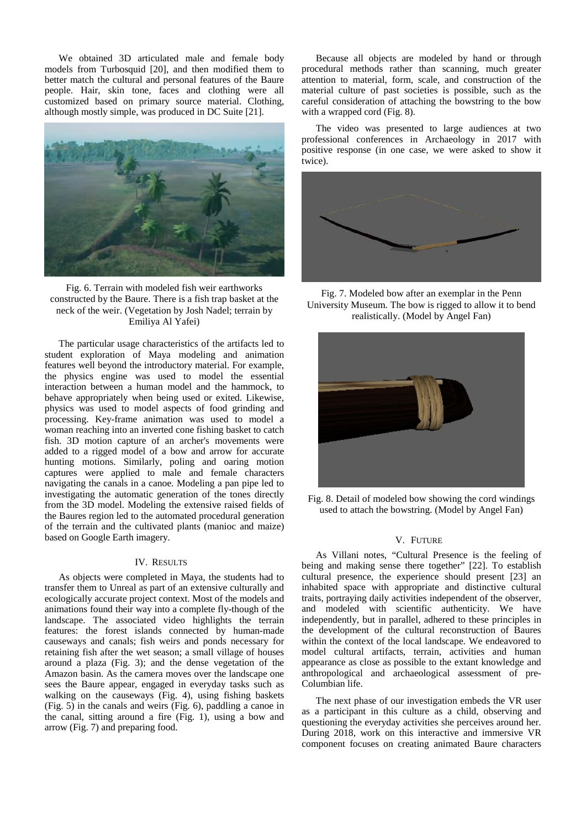We obtained 3D articulated male and female body models from Turbosquid [\[20\],](#page-4-19) and then modified them to better match the cultural and personal features of the Baure people. Hair, skin tone, faces and clothing were all customized based on primary source material. Clothing, although mostly simple, was produced in DC Suite [\[21\].](#page-4-20)



Fig. 6. Terrain with modeled fish weir earthworks constructed by the Baure. There is a fish trap basket at the neck of the weir. (Vegetation by Josh Nadel; terrain by Emiliya Al Yafei)

<span id="page-3-0"></span>The particular usage characteristics of the artifacts led to student exploration of Maya modeling and animation features well beyond the introductory material. For example, the physics engine was used to model the essential interaction between a human model and the hammock, to behave appropriately when being used or exited. Likewise, physics was used to model aspects of food grinding and processing. Key-frame animation was used to model a woman reaching into an inverted cone fishing basket to catch fish. 3D motion capture of an archer's movements were added to a rigged model of a bow and arrow for accurate hunting motions. Similarly, poling and oaring motion captures were applied to male and female characters navigating the canals in a canoe. Modeling a pan pipe led to investigating the automatic generation of the tones directly from the 3D model. Modeling the extensive raised fields of the Baures region led to the automated procedural generation of the terrain and the cultivated plants (manioc and maize) based on Google Earth imagery.

## IV. RESULTS

As objects were completed in Maya, the students had to transfer them to Unreal as part of an extensive culturally and ecologically accurate project context. Most of the models and animations found their way into a complete fly-though of the landscape. The associated video highlights the terrain features: the forest islands connected by human-made causeways and canals; fish weirs and ponds necessary for retaining fish after the wet season; a small village of houses around a plaza (Fig. 3); and the dense vegetation of the Amazon basin. As the camera moves over the landscape one sees the Baure appear, engaged in everyday tasks such as walking on the causeways [\(Fig. 4\)](#page-1-0), using fishing baskets (Fig. 5) in the canals and weirs [\(Fig. 6\)](#page-3-0), paddling a canoe in the canal, sitting around a fire [\(Fig. 1\)](#page-0-0), using a bow and arrow [\(Fig. 7\)](#page-3-1) and preparing food.

Because all objects are modeled by hand or through procedural methods rather than scanning, much greater attention to material, form, scale, and construction of the material culture of past societies is possible, such as the careful consideration of attaching the bowstring to the bow with a wrapped cord (Fig. 8).

The video was presented to large audiences at two professional conferences in Archaeology in 2017 with positive response (in one case, we were asked to show it twice).



Fig. 7. Modeled bow after an exemplar in the Penn University Museum. The bow is rigged to allow it to bend realistically. (Model by Angel Fan)

<span id="page-3-1"></span>

Fig. 8. Detail of modeled bow showing the cord windings used to attach the bowstring. (Model by Angel Fan)

## V. FUTURE

As Villani notes, "Cultural Presence is the feeling of being and making sense there together" [\[22\].](#page-4-21) To establish cultural presence, the experience should present [\[23\]](#page-4-22) an inhabited space with appropriate and distinctive cultural traits, portraying daily activities independent of the observer, and modeled with scientific authenticity. We have independently, but in parallel, adhered to these principles in the development of the cultural reconstruction of Baures within the context of the local landscape. We endeavored to model cultural artifacts, terrain, activities and human appearance as close as possible to the extant knowledge and anthropological and archaeological assessment of pre-Columbian life.

The next phase of our investigation embeds the VR user as a participant in this culture as a child, observing and questioning the everyday activities she perceives around her. During 2018, work on this interactive and immersive VR component focuses on creating animated Baure characters